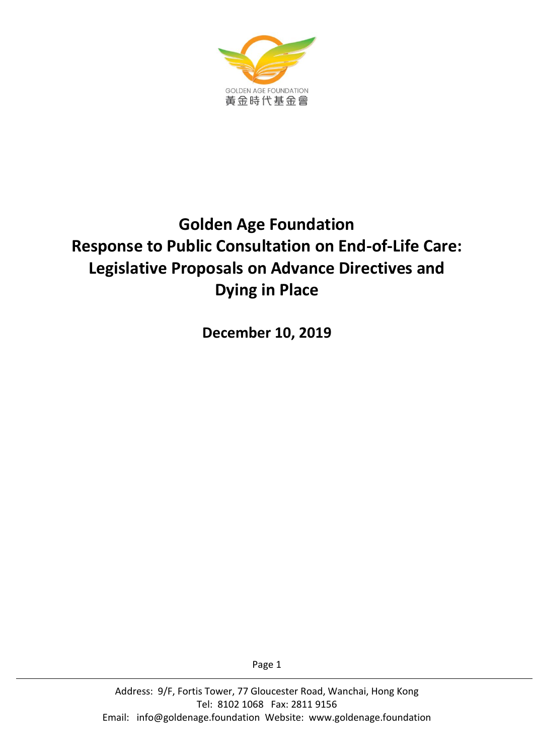

# **Golden Age Foundation Response to Public Consultation on End-of-Life Care: Legislative Proposals on Advance Directives and Dying in Place**

**December 10, 2019**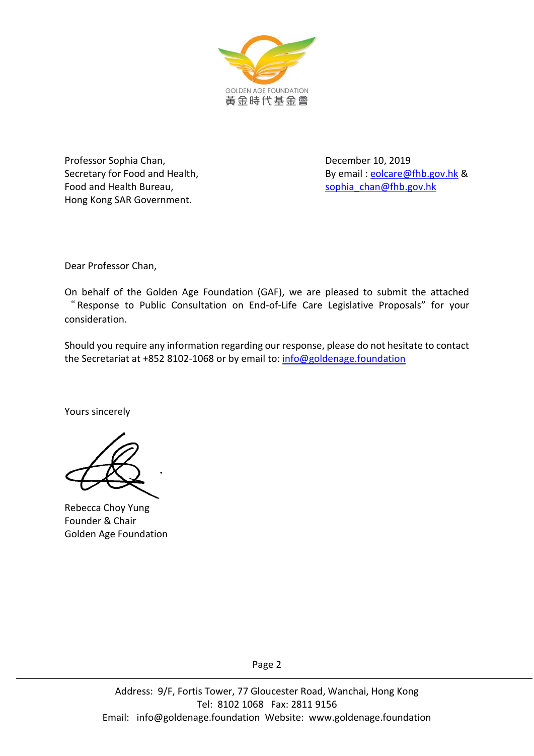

Professor Sophia Chan, The Channel Channel Channel December 10, 2019 Food and Health Bureau, [sophia\\_chan@fhb.gov.hk](mailto:sophia_chan@fhb.gov.hk) Hong Kong SAR Government.

Secretary for Food and Health, By email : [eolcare@fhb.gov.hk](mailto:eolcare@fhb.gov.hk) &

Dear Professor Chan,

On behalf of the Golden Age Foundation (GAF), we are pleased to submit the attached " Response to Public Consultation on End-of-Life Care Legislative Proposals" for your consideration.

Should you require any information regarding our response, please do not hesitate to contact the Secretariat at +852 8102-1068 or by email to: [info@goldenage.foundation](mailto:info@goldenage.foundation)

Yours sincerely

Rebecca Choy Yung Founder & Chair Golden Age Foundation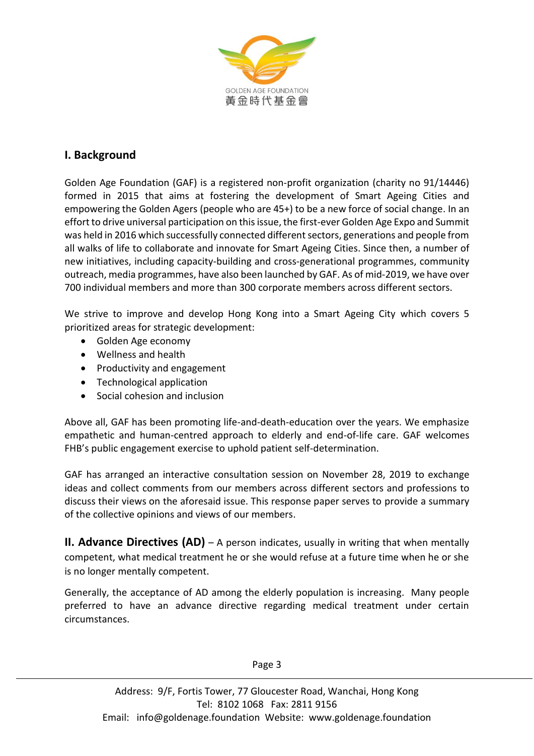

## **I. Background**

Golden Age Foundation (GAF) is a registered non-profit organization (charity no 91/14446) formed in 2015 that aims at fostering the development of Smart Ageing Cities and empowering the Golden Agers (people who are 45+) to be a new force of social change. In an effort to drive universal participation on this issue, the first-ever Golden Age Expo and Summit was held in 2016 which successfully connected different sectors, generations and people from all walks of life to collaborate and innovate for Smart Ageing Cities. Since then, a number of new initiatives, including capacity-building and cross-generational programmes, community outreach, media programmes, have also been launched by GAF. As of mid-2019, we have over 700 individual members and more than 300 corporate members across different sectors.

We strive to improve and develop Hong Kong into a Smart Ageing City which covers 5 prioritized areas for strategic development:

- Golden Age economy
- Wellness and health
- Productivity and engagement
- Technological application
- Social cohesion and inclusion

Above all, GAF has been promoting life-and-death-education over the years. We emphasize empathetic and human-centred approach to elderly and end-of-life care. GAF welcomes FHB's public engagement exercise to uphold patient self-determination.

GAF has arranged an interactive consultation session on November 28, 2019 to exchange ideas and collect comments from our members across different sectors and professions to discuss their views on the aforesaid issue. This response paper serves to provide a summary of the collective opinions and views of our members.

**II. Advance Directives (AD)** – A person indicates, usually in writing that when mentally competent, what medical treatment he or she would refuse at a future time when he or she is no longer mentally competent.

Generally, the acceptance of AD among the elderly population is increasing. Many people preferred to have an advance directive regarding medical treatment under certain circumstances.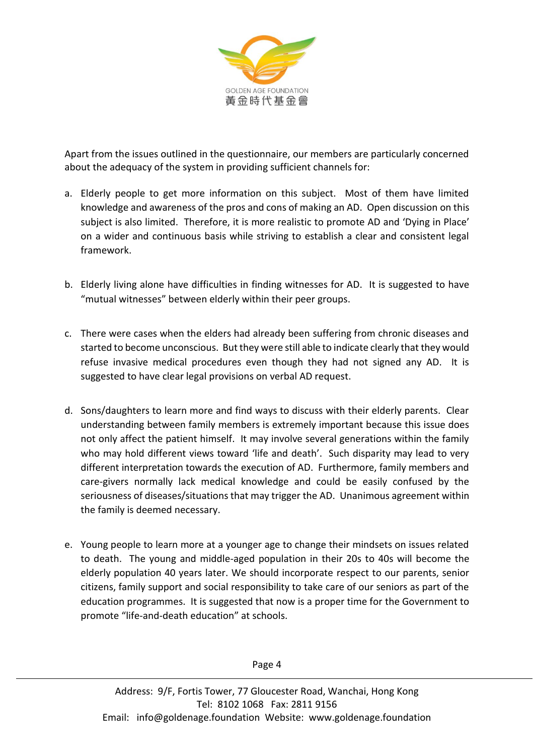

Apart from the issues outlined in the questionnaire, our members are particularly concerned about the adequacy of the system in providing sufficient channels for:

- a. Elderly people to get more information on this subject. Most of them have limited knowledge and awareness of the pros and cons of making an AD. Open discussion on this subject is also limited. Therefore, it is more realistic to promote AD and 'Dying in Place' on a wider and continuous basis while striving to establish a clear and consistent legal framework.
- b. Elderly living alone have difficulties in finding witnesses for AD. It is suggested to have "mutual witnesses" between elderly within their peer groups.
- c. There were cases when the elders had already been suffering from chronic diseases and started to become unconscious. But they were still able to indicate clearly that they would refuse invasive medical procedures even though they had not signed any AD. It is suggested to have clear legal provisions on verbal AD request.
- d. Sons/daughters to learn more and find ways to discuss with their elderly parents. Clear understanding between family members is extremely important because this issue does not only affect the patient himself. It may involve several generations within the family who may hold different views toward 'life and death'. Such disparity may lead to very different interpretation towards the execution of AD. Furthermore, family members and care-givers normally lack medical knowledge and could be easily confused by the seriousness of diseases/situations that may trigger the AD. Unanimous agreement within the family is deemed necessary.
- e. Young people to learn more at a younger age to change their mindsets on issues related to death. The young and middle-aged population in their 20s to 40s will become the elderly population 40 years later. We should incorporate respect to our parents, senior citizens, family support and social responsibility to take care of our seniors as part of the education programmes. It is suggested that now is a proper time for the Government to promote "life-and-death education" at schools.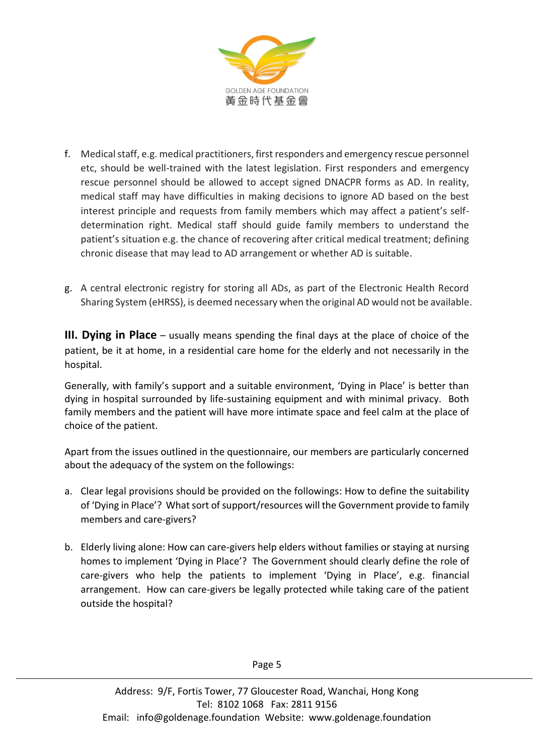

- f. Medical staff, e.g. medical practitioners, first responders and emergency rescue personnel etc, should be well-trained with the latest legislation. First responders and emergency rescue personnel should be allowed to accept signed DNACPR forms as AD. In reality, medical staff may have difficulties in making decisions to ignore AD based on the best interest principle and requests from family members which may affect a patient's selfdetermination right. Medical staff should guide family members to understand the patient's situation e.g. the chance of recovering after critical medical treatment; defining chronic disease that may lead to AD arrangement or whether AD is suitable.
- g. A central electronic registry for storing all ADs, as part of the Electronic Health Record Sharing System (eHRSS), is deemed necessary when the original AD would not be available.

**III. Dying in Place** – usually means spending the final days at the place of choice of the patient, be it at home, in a residential care home for the elderly and not necessarily in the hospital.

Generally, with family's support and a suitable environment, 'Dying in Place' is better than dying in hospital surrounded by life-sustaining equipment and with minimal privacy. Both family members and the patient will have more intimate space and feel calm at the place of choice of the patient.

Apart from the issues outlined in the questionnaire, our members are particularly concerned about the adequacy of the system on the followings:

- a. Clear legal provisions should be provided on the followings: How to define the suitability of 'Dying in Place'? What sort of support/resources will the Government provide to family members and care-givers?
- b. Elderly living alone: How can care-givers help elders without families or staying at nursing homes to implement 'Dying in Place'? The Government should clearly define the role of care-givers who help the patients to implement 'Dying in Place', e.g. financial arrangement. How can care-givers be legally protected while taking care of the patient outside the hospital?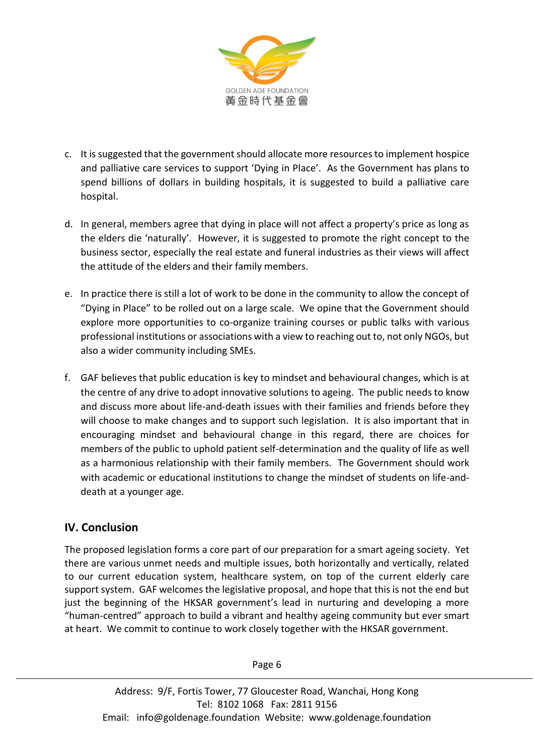

- c. It is suggested that the government should allocate more resources to implement hospice and palliative care services to support 'Dying in Place'. As the Government has plans to spend billions of dollars in building hospitals, it is suggested to build a palliative care hospital.
- d. In general, members agree that dying in place will not affect a property's price as long as the elders die 'naturally'. However, it is suggested to promote the right concept to the business sector, especially the real estate and funeral industries as their views will affect the attitude of the elders and their family members.
- e. In practice there is still a lot of work to be done in the community to allow the concept of "Dying in Place" to be rolled out on a large scale. We opine that the Government should explore more opportunities to co-organize training courses or public talks with various professional institutions or associations with a view to reaching out to, not only NGOs, but also a wider community including SMEs.
- f. GAF believes that public education is key to mindset and behavioural changes, which is at the centre of any drive to adopt innovative solutions to ageing. The public needs to know and discuss more about life-and-death issues with their families and friends before they will choose to make changes and to support such legislation. It is also important that in encouraging mindset and behavioural change in this regard, there are choices for members of the public to uphold patient self-determination and the quality of life as well as a harmonious relationship with their family members. The Government should work with academic or educational institutions to change the mindset of students on life-anddeath at a younger age.

# **IV. Conclusion**

The proposed legislation forms a core part of our preparation for a smart ageing society. Yet there are various unmet needs and multiple issues, both horizontally and vertically, related to our current education system, healthcare system, on top of the current elderly care support system. GAF welcomes the legislative proposal, and hope that this is not the end but just the beginning of the HKSAR government's lead in nurturing and developing a more "human-centred" approach to build a vibrant and healthy ageing community but ever smart at heart. We commit to continue to work closely together with the HKSAR government.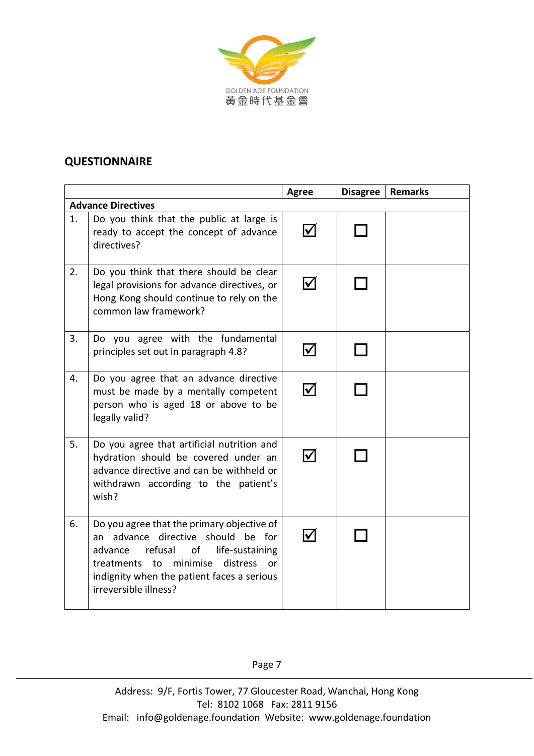

### **QUESTIONNAIRE**

|    |                                                                                                                                                                                                                                                         | <b>Agree</b>         | <b>Disagree</b> | <b>Remarks</b> |
|----|---------------------------------------------------------------------------------------------------------------------------------------------------------------------------------------------------------------------------------------------------------|----------------------|-----------------|----------------|
|    | <b>Advance Directives</b>                                                                                                                                                                                                                               |                      |                 |                |
| 1. | Do you think that the public at large is<br>ready to accept the concept of advance<br>directives?                                                                                                                                                       | $\blacktriangledown$ |                 |                |
| 2. | Do you think that there should be clear<br>legal provisions for advance directives, or<br>Hong Kong should continue to rely on the<br>common law framework?                                                                                             | I√                   |                 |                |
| 3. | Do you agree with the fundamental<br>principles set out in paragraph 4.8?                                                                                                                                                                               |                      |                 |                |
| 4. | Do you agree that an advance directive<br>must be made by a mentally competent<br>person who is aged 18 or above to be<br>legally valid?                                                                                                                | $\bm{\triangledown}$ |                 |                |
| 5. | Do you agree that artificial nutrition and<br>hydration should be covered under an<br>advance directive and can be withheld or<br>withdrawn according to the patient's<br>wish?                                                                         | $\blacktriangledown$ |                 |                |
| 6. | Do you agree that the primary objective of<br>an advance directive should be for<br>refusal<br>of<br>life-sustaining<br>advance<br>minimise<br>distress<br>treatments to<br>or o<br>indignity when the patient faces a serious<br>irreversible illness? | I√                   |                 |                |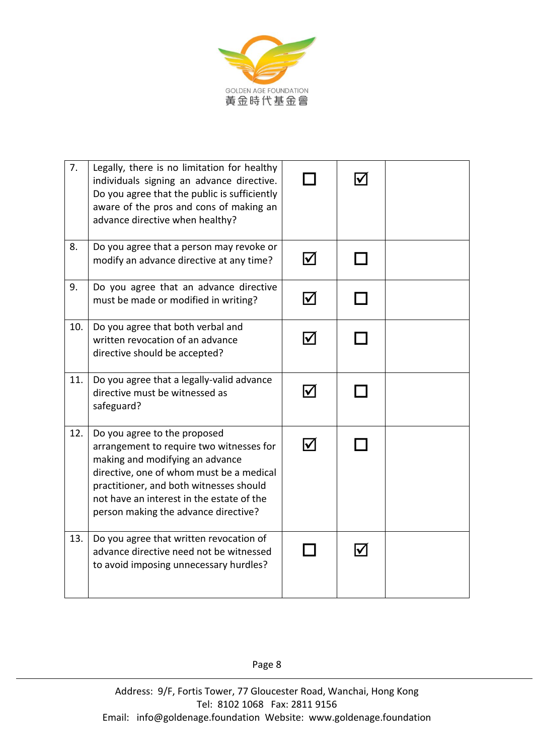

| 7.  | Legally, there is no limitation for healthy<br>individuals signing an advance directive.<br>Do you agree that the public is sufficiently<br>aware of the pros and cons of making an<br>advance directive when healthy?                                                                  |                            |  |
|-----|-----------------------------------------------------------------------------------------------------------------------------------------------------------------------------------------------------------------------------------------------------------------------------------------|----------------------------|--|
| 8.  | Do you agree that a person may revoke or<br>modify an advance directive at any time?                                                                                                                                                                                                    | $\blacktriangledown$       |  |
| 9.  | Do you agree that an advance directive<br>must be made or modified in writing?                                                                                                                                                                                                          | $\boldsymbol{\mathcal{U}}$ |  |
| 10. | Do you agree that both verbal and<br>written revocation of an advance<br>directive should be accepted?                                                                                                                                                                                  | $\bm{\nabla}$              |  |
| 11. | Do you agree that a legally-valid advance<br>directive must be witnessed as<br>safeguard?                                                                                                                                                                                               | $\blacktriangledown$       |  |
| 12. | Do you agree to the proposed<br>arrangement to require two witnesses for<br>making and modifying an advance<br>directive, one of whom must be a medical<br>practitioner, and both witnesses should<br>not have an interest in the estate of the<br>person making the advance directive? | $\boldsymbol{\nabla}$      |  |
| 13. | Do you agree that written revocation of<br>advance directive need not be witnessed<br>to avoid imposing unnecessary hurdles?                                                                                                                                                            |                            |  |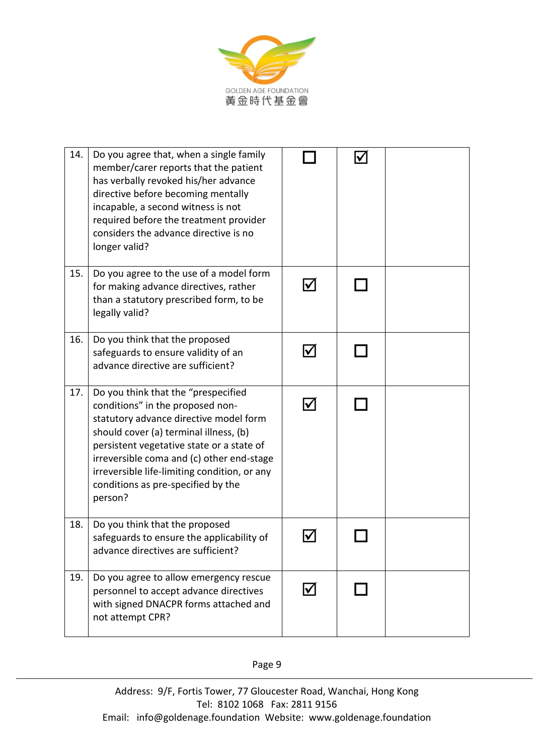

| 14. | Do you agree that, when a single family<br>member/carer reports that the patient<br>has verbally revoked his/her advance<br>directive before becoming mentally<br>incapable, a second witness is not<br>required before the treatment provider<br>considers the advance directive is no<br>longer valid?                                               |    |  |
|-----|--------------------------------------------------------------------------------------------------------------------------------------------------------------------------------------------------------------------------------------------------------------------------------------------------------------------------------------------------------|----|--|
| 15. | Do you agree to the use of a model form<br>for making advance directives, rather<br>than a statutory prescribed form, to be<br>legally valid?                                                                                                                                                                                                          |    |  |
| 16. | Do you think that the proposed<br>safeguards to ensure validity of an<br>advance directive are sufficient?                                                                                                                                                                                                                                             |    |  |
| 17. | Do you think that the "prespecified<br>conditions" in the proposed non-<br>statutory advance directive model form<br>should cover (a) terminal illness, (b)<br>persistent vegetative state or a state of<br>irreversible coma and (c) other end-stage<br>irreversible life-limiting condition, or any<br>conditions as pre-specified by the<br>person? |    |  |
| 18. | Do you think that the proposed<br>safeguards to ensure the applicability of<br>advance directives are sufficient?                                                                                                                                                                                                                                      |    |  |
| 19. | Do you agree to allow emergency rescue<br>personnel to accept advance directives<br>with signed DNACPR forms attached and<br>not attempt CPR?                                                                                                                                                                                                          | I√ |  |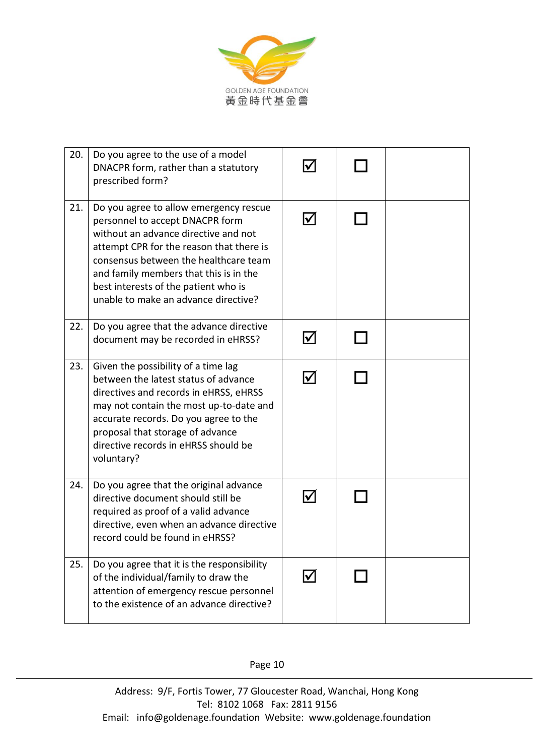

| 20. | Do you agree to the use of a model<br>DNACPR form, rather than a statutory<br>prescribed form?                                                                                                                                                                                                                                   |   |  |
|-----|----------------------------------------------------------------------------------------------------------------------------------------------------------------------------------------------------------------------------------------------------------------------------------------------------------------------------------|---|--|
| 21. | Do you agree to allow emergency rescue<br>personnel to accept DNACPR form<br>without an advance directive and not<br>attempt CPR for the reason that there is<br>consensus between the healthcare team<br>and family members that this is in the<br>best interests of the patient who is<br>unable to make an advance directive? |   |  |
| 22. | Do you agree that the advance directive<br>document may be recorded in eHRSS?                                                                                                                                                                                                                                                    |   |  |
| 23. | Given the possibility of a time lag<br>between the latest status of advance<br>directives and records in eHRSS, eHRSS<br>may not contain the most up-to-date and<br>accurate records. Do you agree to the<br>proposal that storage of advance<br>directive records in eHRSS should be<br>voluntary?                              | M |  |
| 24. | Do you agree that the original advance<br>directive document should still be<br>required as proof of a valid advance<br>directive, even when an advance directive<br>record could be found in eHRSS?                                                                                                                             |   |  |
| 25. | Do you agree that it is the responsibility<br>of the individual/family to draw the<br>attention of emergency rescue personnel<br>to the existence of an advance directive?                                                                                                                                                       |   |  |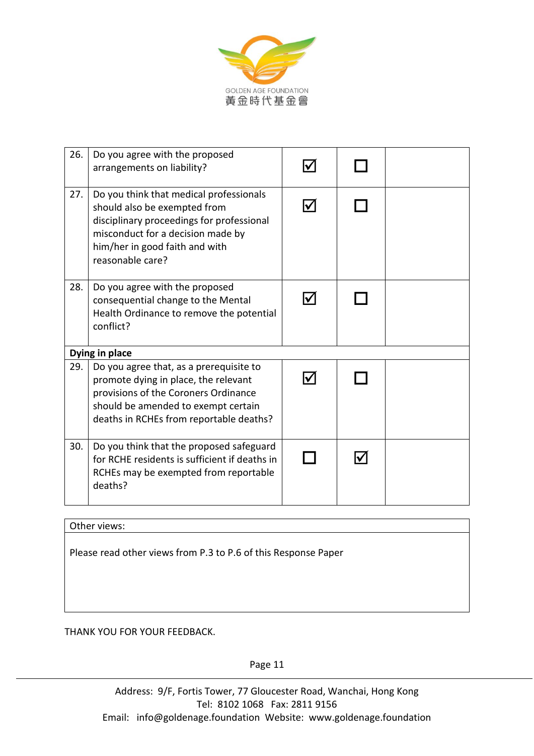

| 26. | Do you agree with the proposed<br>arrangements on liability?                                                                                                                                                    |  |  |  |
|-----|-----------------------------------------------------------------------------------------------------------------------------------------------------------------------------------------------------------------|--|--|--|
| 27. | Do you think that medical professionals<br>should also be exempted from<br>disciplinary proceedings for professional<br>misconduct for a decision made by<br>him/her in good faith and with<br>reasonable care? |  |  |  |
| 28. | Do you agree with the proposed<br>consequential change to the Mental<br>Health Ordinance to remove the potential<br>conflict?                                                                                   |  |  |  |
|     | Dying in place                                                                                                                                                                                                  |  |  |  |
| 29. | Do you agree that, as a prerequisite to<br>promote dying in place, the relevant<br>provisions of the Coroners Ordinance<br>should be amended to exempt certain<br>deaths in RCHEs from reportable deaths?       |  |  |  |
| 30. | Do you think that the proposed safeguard<br>for RCHE residents is sufficient if deaths in<br>RCHEs may be exempted from reportable<br>deaths?                                                                   |  |  |  |

Other views:

Please read other views from P.3 to P.6 of this Response Paper

THANK YOU FOR YOUR FEEDBACK.